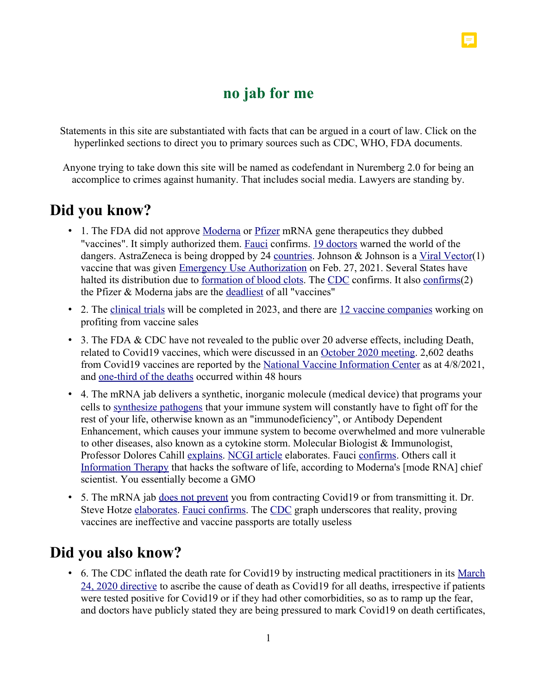### **no jab for me**

Statements in this site are substantiated with facts that can be argued in a court of law. Click on the hyperlinked sections to direct you to primary sources such as CDC, WHO, FDA documents.

Anyone trying to take down this site will be named as codefendant in Nuremberg 2.0 for being an accomplice to crimes against humanity. That includes social media. Lawyers are standing by.

## **Did you know?**

- 1. The FDA did not approve Moderna or Pfizer mRNA gene therapeutics they dubbed "vaccines". It simply authorized them. Fauci confirms. 19 doctors warned the world of the dangers. AstraZeneca is being dropped by 24 countries. Johnson & Johnson is a Viral Vector(1) vaccine that was given Emergency Use Authorization on Feb. 27, 2021. Several States have halted its distribution due to formation of blood clots. The CDC confirms. It also confirms(2) the Pfizer & Moderna jabs are the deadliest of all "vaccines"
- 2. The clinical trials will be completed in 2023, and there are 12 vaccine companies working on profiting from vaccine sales
- 3. The FDA & CDC have not revealed to the public over 20 adverse effects, including Death, related to Covid19 vaccines, which were discussed in an October 2020 meeting. 2,602 deaths from Covid19 vaccines are reported by the National Vaccine Information Center as at 4/8/2021, and one-third of the deaths occurred within 48 hours
- 4. The mRNA jab delivers a synthetic, inorganic molecule (medical device) that programs your cells to synthesize pathogens that your immune system will constantly have to fight off for the rest of your life, otherwise known as an "immunodeficiency", or Antibody Dependent Enhancement, which causes your immune system to become overwhelmed and more vulnerable to other diseases, also known as a cytokine storm. Molecular Biologist & Immunologist, Professor Dolores Cahill explains. NCGI article elaborates. Fauci confirms. Others call it Information Therapy that hacks the software of life, according to Moderna's [mode RNA] chief scientist. You essentially become a GMO
- 5. The mRNA jab does not prevent you from contracting Covid19 or from transmitting it. Dr. Steve Hotze elaborates. Fauci confirms. The CDC graph underscores that reality, proving vaccines are ineffective and vaccine passports are totally useless

## **Did you also know?**

• 6. The CDC inflated the death rate for Covid19 by instructing medical practitioners in its March 24, 2020 directive to ascribe the cause of death as Covid19 for all deaths, irrespective if patients were tested positive for Covid19 or if they had other comorbidities, so as to ramp up the fear, and doctors have publicly stated they are being pressured to mark Covid19 on death certificates,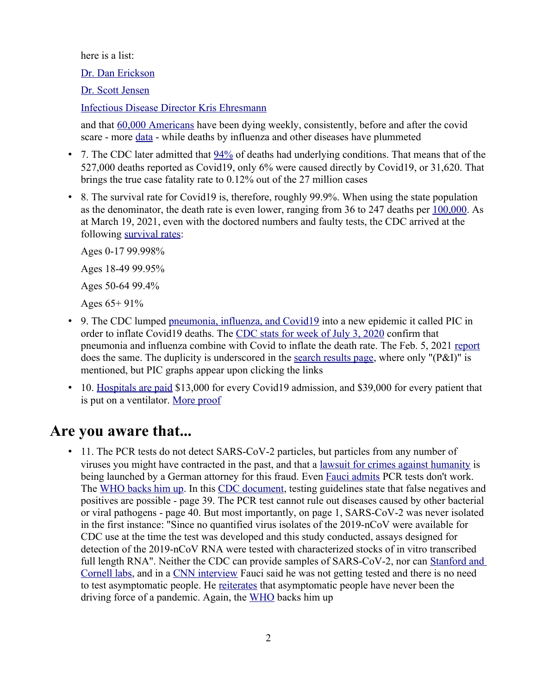here is a list:

Dr. Dan Erickson

Dr. Scott Jensen

Infectious Disease Director Kris Ehresmann

and that 60,000 Americans have been dying weekly, consistently, before and after the covid scare - more data - while deaths by influenza and other diseases have plummeted

- 7. The CDC later admitted that  $94\%$  of deaths had underlying conditions. That means that of the 527,000 deaths reported as Covid19, only 6% were caused directly by Covid19, or 31,620. That brings the true case fatality rate to 0.12% out of the 27 million cases
- 8. The survival rate for Covid19 is, therefore, roughly 99.9%. When using the state population as the denominator, the death rate is even lower, ranging from 36 to 247 deaths per 100,000. As at March 19, 2021, even with the doctored numbers and faulty tests, the CDC arrived at the following survival rates:

Ages 0-17 99.998% Ages 18-49 99.95% Ages 50-64 99.4% Ages 65+ 91%

- 9. The CDC lumped <u>pneumonia, influenza, and Covid19</u> into a new epidemic it called PIC in order to inflate Covid19 deaths. The CDC stats for week of July 3, 2020 confirm that pneumonia and influenza combine with Covid to inflate the death rate. The Feb. 5, 2021 report does the same. The duplicity is underscored in the search results page, where only "(P&I)" is mentioned, but PIC graphs appear upon clicking the links
- 10. Hospitals are paid \$13,000 for every Covid19 admission, and \$39,000 for every patient that is put on a ventilator. More proof

## **Are you aware that...**

• 11. The PCR tests do not detect SARS-CoV-2 particles, but particles from any number of viruses you might have contracted in the past, and that a lawsuit for crimes against humanity is being launched by a German attorney for this fraud. Even Fauci admits PCR tests don't work. The WHO backs him up. In this CDC document, testing guidelines state that false negatives and positives are possible - page 39. The PCR test cannot rule out diseases caused by other bacterial or viral pathogens - page 40. But most importantly, on page 1, SARS-CoV-2 was never isolated in the first instance: "Since no quantified virus isolates of the 2019-nCoV were available for CDC use at the time the test was developed and this study conducted, assays designed for detection of the 2019-nCoV RNA were tested with characterized stocks of in vitro transcribed full length RNA". Neither the CDC can provide samples of SARS-CoV-2, nor can Stanford and Cornell labs, and in a CNN interview Fauci said he was not getting tested and there is no need to test asymptomatic people. He reiterates that asymptomatic people have never been the driving force of a pandemic. Again, the WHO backs him up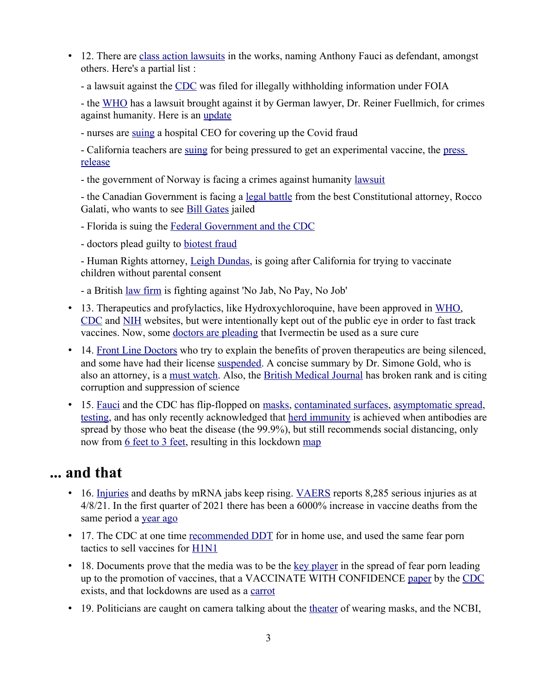- 12. There are class action lawsuits in the works, naming Anthony Fauci as defendant, amongst others. Here's a partial list :
	- a lawsuit against the CDC was filed for illegally withholding information under FOIA

- the WHO has a lawsuit brought against it by German lawyer, Dr. Reiner Fuellmich, for crimes against humanity. Here is an update

- nurses are suing a hospital CEO for covering up the Covid fraud

- California teachers are suing for being pressured to get an experimental vaccine, the press release

- the government of Norway is facing a crimes against humanity lawsuit

- the Canadian Government is facing a legal battle from the best Constitutional attorney, Rocco Galati, who wants to see Bill Gates jailed

- Florida is suing the Federal Government and the CDC
- doctors plead guilty to biotest fraud

- Human Rights attorney, Leigh Dundas, is going after California for trying to vaccinate children without parental consent

- a British law firm is fighting against 'No Jab, No Pay, No Job'

- 13. Therapeutics and profylactics, like Hydroxychloroquine, have been approved in WHO, CDC and NIH websites, but were intentionally kept out of the public eye in order to fast track vaccines. Now, some doctors are pleading that Ivermectin be used as a sure cure
- 14. Front Line Doctors who try to explain the benefits of proven therapeutics are being silenced, and some have had their license suspended. A concise summary by Dr. Simone Gold, who is also an attorney, is a must watch. Also, the British Medical Journal has broken rank and is citing corruption and suppression of science
- 15. Fauci and the CDC has flip-flopped on masks, contaminated surfaces, asymptomatic spread, testing, and has only recently acknowledged that herd immunity is achieved when antibodies are spread by those who beat the disease (the 99.9%), but still recommends social distancing, only now from 6 feet to 3 feet, resulting in this lockdown map

### **... and that**

- 16. Injuries and deaths by mRNA jabs keep rising. VAERS reports 8,285 serious injuries as at 4/8/21. In the first quarter of 2021 there has been a 6000% increase in vaccine deaths from the same period a year ago
- 17. The CDC at one time recommended DDT for in home use, and used the same fear porn tactics to sell vaccines for H1N1
- 18. Documents prove that the media was to be the key player in the spread of fear porn leading up to the promotion of vaccines, that a VACCINATE WITH CONFIDENCE paper by the CDC exists, and that lockdowns are used as a carrot
- 19. Politicians are caught on camera talking about the theater of wearing masks, and the NCBI,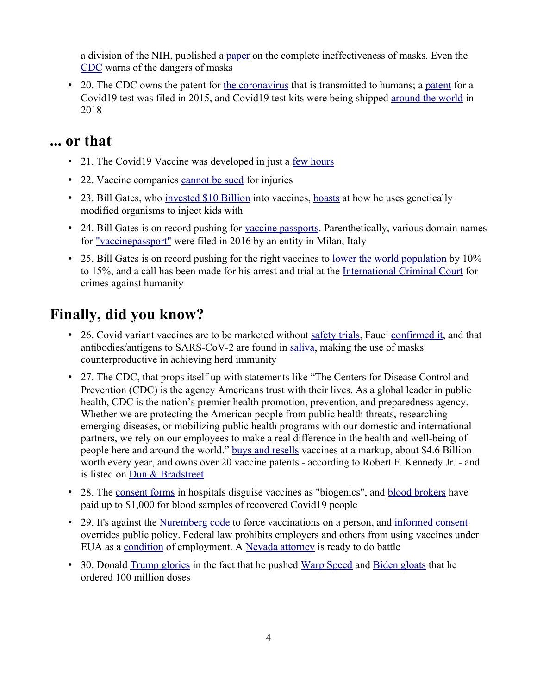a division of the NIH, published a paper on the complete ineffectiveness of masks. Even the CDC warns of the dangers of masks

• 20. The CDC owns the patent for the coronavirus that is transmitted to humans; a patent for a Covid19 test was filed in 2015, and Covid19 test kits were being shipped around the world in 2018

### **... or that**

- 21. The Covid19 Vaccine was developed in just a few hours
- 22. Vaccine companies cannot be sued for injuries
- 23. Bill Gates, who invested \$10 Billion into vaccines, boasts at how he uses genetically modified organisms to inject kids with
- 24. Bill Gates is on record pushing for vaccine passports. Parenthetically, various domain names for "vaccinepassport" were filed in 2016 by an entity in Milan, Italy
- 25. Bill Gates is on record pushing for the right vaccines to <u>lower the world population</u> by 10% to 15%, and a call has been made for his arrest and trial at the International Criminal Court for crimes against humanity

# **Finally, did you know?**

- 26. Covid variant vaccines are to be marketed without safety trials, Fauci confirmed it, and that antibodies/antigens to SARS-CoV-2 are found in saliva, making the use of masks counterproductive in achieving herd immunity
- 27. The CDC, that props itself up with statements like "The Centers for Disease Control and Prevention (CDC) is the agency Americans trust with their lives. As a global leader in public health, CDC is the nation's premier health promotion, prevention, and preparedness agency. Whether we are protecting the American people from public health threats, researching emerging diseases, or mobilizing public health programs with our domestic and international partners, we rely on our employees to make a real difference in the health and well-being of people here and around the world." buys and resells vaccines at a markup, about \$4.6 Billion worth every year, and owns over 20 vaccine patents - according to Robert F. Kennedy Jr. - and is listed on Dun & Bradstreet
- 28. The consent forms in hospitals disguise vaccines as "biogenics", and blood brokers have paid up to \$1,000 for blood samples of recovered Covid19 people
- 29. It's against the Nuremberg code to force vaccinations on a person, and informed consent overrides public policy. Federal law prohibits employers and others from using vaccines under EUA as a condition of employment. A Nevada attorney is ready to do battle
- 30. Donald Trump glories in the fact that he pushed Warp Speed and Biden gloats that he ordered 100 million doses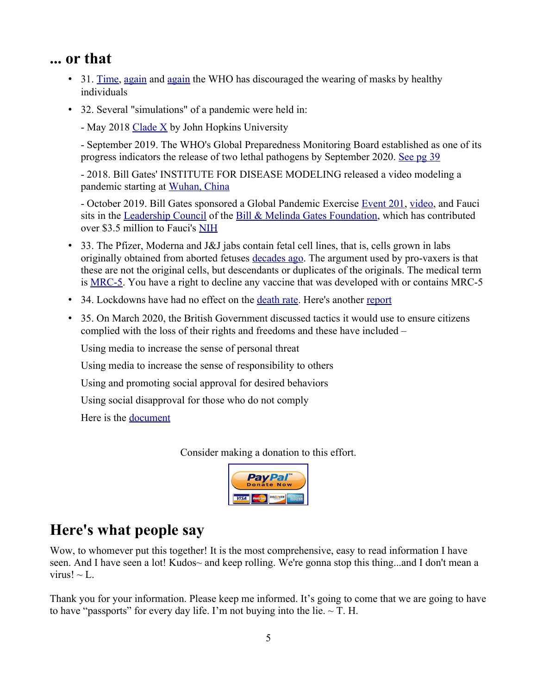### **... or that**

- 31. Time, again and again the WHO has discouraged the wearing of masks by healthy individuals
- 32. Several "simulations" of a pandemic were held in:
	- May 2018 Clade  $\overline{X}$  by John Hopkins University

- September 2019. The WHO's Global Preparedness Monitoring Board established as one of its progress indicators the release of two lethal pathogens by September 2020. See pg 39

- 2018. Bill Gates' INSTITUTE FOR DISEASE MODELING released a video modeling a pandemic starting at Wuhan, China

- October 2019. Bill Gates sponsored a Global Pandemic Exercise Event 201, video, and Fauci sits in the Leadership Council of the Bill & Melinda Gates Foundation, which has contributed over \$3.5 million to Fauci's NIH

- 33. The Pfizer, Moderna and J&J jabs contain fetal cell lines, that is, cells grown in labs originally obtained from aborted fetuses decades ago. The argument used by pro-vaxers is that these are not the original cells, but descendants or duplicates of the originals. The medical term is MRC-5. You have a right to decline any vaccine that was developed with or contains MRC-5
- 34. Lockdowns have had no effect on the death rate. Here's another report
- 35. On March 2020, the British Government discussed tactics it would use to ensure citizens complied with the loss of their rights and freedoms and these have included –

Using media to increase the sense of personal threat

Using media to increase the sense of responsibility to others

Using and promoting social approval for desired behaviors

Using social disapproval for those who do not comply

Here is the document

Consider making a donation to this effort.



## **Here's what people say**

Wow, to whomever put this together! It is the most comprehensive, easy to read information I have seen. And I have seen a lot! Kudos~ and keep rolling. We're gonna stop this thing...and I don't mean a virus!  $\sim$  L.

Thank you for your information. Please keep me informed. It's going to come that we are going to have to have "passports" for every day life. I'm not buying into the lie.  $\sim$  T. H.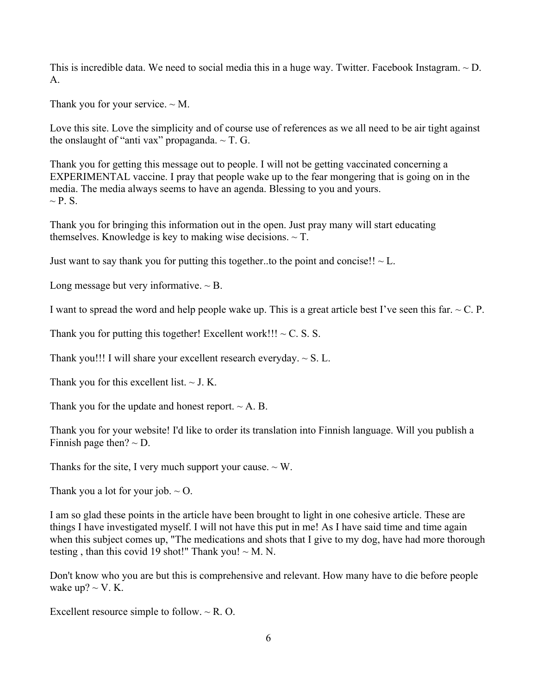This is incredible data. We need to social media this in a huge way. Twitter. Facebook Instagram.  $\sim$  D. A.

Thank you for your service.  $\sim$  M.

Love this site. Love the simplicity and of course use of references as we all need to be air tight against the onslaught of "anti vax" propaganda.  $\sim$  T. G.

Thank you for getting this message out to people. I will not be getting vaccinated concerning a EXPERIMENTAL vaccine. I pray that people wake up to the fear mongering that is going on in the media. The media always seems to have an agenda. Blessing to you and yours.  $\sim$  P. S.

Thank you for bringing this information out in the open. Just pray many will start educating themselves. Knowledge is key to making wise decisions.  $\sim$  T.

Just want to say thank you for putting this together..to the point and concise!!  $\sim$  L.

Long message but very informative.  $\sim$  B.

I want to spread the word and help people wake up. This is a great article best I've seen this far.  $\sim C$ . P.

Thank you for putting this together! Excellent work!!!  $\sim$  C. S. S.

Thank you!!! I will share your excellent research everyday.  $\sim S$ . L.

Thank you for this excellent list.  $\sim$  J. K.

Thank you for the update and honest report.  $\sim$  A. B.

Thank you for your website! I'd like to order its translation into Finnish language. Will you publish a Finnish page then?  $\sim$  D.

Thanks for the site, I very much support your cause.  $\sim W$ .

Thank you a lot for your job.  $\sim$  O.

I am so glad these points in the article have been brought to light in one cohesive article. These are things I have investigated myself. I will not have this put in me! As I have said time and time again when this subject comes up, "The medications and shots that I give to my dog, have had more thorough testing, than this covid 19 shot!" Thank you!  $\sim$  M. N.

Don't know who you are but this is comprehensive and relevant. How many have to die before people wake up?  $\sim$  V. K.

Excellent resource simple to follow.  $\sim$  R. O.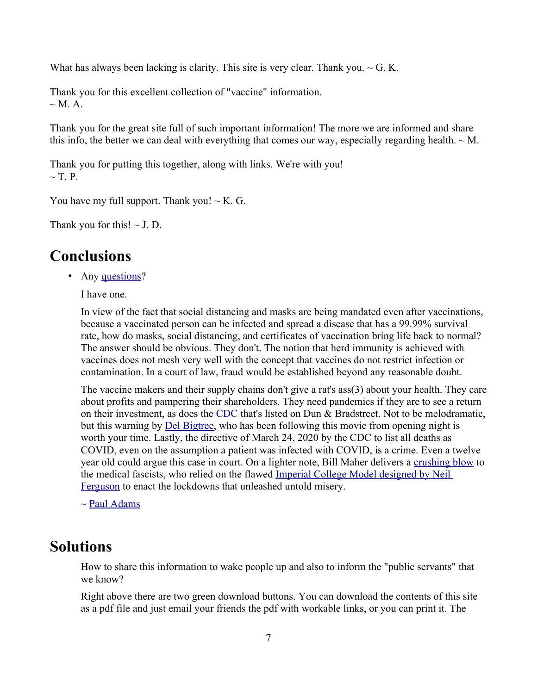What has always been lacking is clarity. This site is very clear. Thank you.  $\sim$  G. K.

Thank you for this excellent collection of "vaccine" information.  $\sim$  M. A.

Thank you for the great site full of such important information! The more we are informed and share this info, the better we can deal with everything that comes our way, especially regarding health.  $\sim M$ .

Thank you for putting this together, along with links. We're with you!  $\sim$  T. P.

You have my full support. Thank you!  $\sim$  K. G.

Thank you for this!  $\sim$  J. D.

### **Conclusions**

• Any questions?

I have one.

In view of the fact that social distancing and masks are being mandated even after vaccinations, because a vaccinated person can be infected and spread a disease that has a 99.99% survival rate, how do masks, social distancing, and certificates of vaccination bring life back to normal? The answer should be obvious. They don't. The notion that herd immunity is achieved with vaccines does not mesh very well with the concept that vaccines do not restrict infection or contamination. In a court of law, fraud would be established beyond any reasonable doubt.

The vaccine makers and their supply chains don't give a rat's ass(3) about your health. They care about profits and pampering their shareholders. They need pandemics if they are to see a return on their investment, as does the CDC that's listed on Dun & Bradstreet. Not to be melodramatic, but this warning by Del Bigtree, who has been following this movie from opening night is worth your time. Lastly, the directive of March 24, 2020 by the CDC to list all deaths as COVID, even on the assumption a patient was infected with COVID, is a crime. Even a twelve year old could argue this case in court. On a lighter note, Bill Maher delivers a crushing blow to the medical fascists, who relied on the flawed Imperial College Model designed by Neil Ferguson to enact the lockdowns that unleashed untold misery.

 $\sim$  Paul Adams

#### **Solutions**

How to share this information to wake people up and also to inform the "public servants" that we know?

Right above there are two green download buttons. You can download the contents of this site as a pdf file and just email your friends the pdf with workable links, or you can print it. The